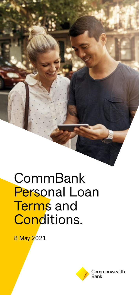# **CommBank** Personal Loan Terms and Conditions.

8 May 2021

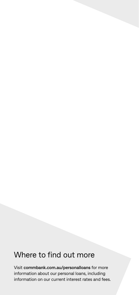## Where to find out more

Visit **commbank.com.au/personalloans** for more information about our personal loans, including information on our current interest rates and fees.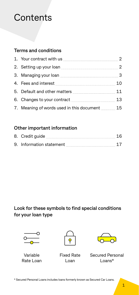# **Contents**

#### **Terms and conditions**

| 1. Your contract with us <b>manually contract</b> 2         |  |
|-------------------------------------------------------------|--|
|                                                             |  |
| 3. Managing your loan <b>manual community</b> 3             |  |
| 4. Fees and interest <b>manual contract and interest</b> 10 |  |
| 5. Default and other matters <b>contained a set of 11</b>   |  |
|                                                             |  |
| 7. Meaning of words used in this document <b>manual</b> 15  |  |

#### **Other important information**

| 8. Credit guide          |  |
|--------------------------|--|
| 9. Information statement |  |

### **Look for these symbols to find special conditions for your loan type**



Variable Rate Loan



Loan



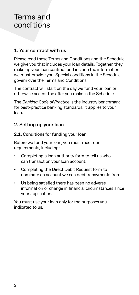#### **1. Your contract with us**

Please read these Terms and Conditions and the Schedule we give you that includes your loan details. Together, they make up your loan contract and include the information we must provide you. Special conditions in the Schedule govern over the Terms and Conditions.

The contract will start on the day we fund your loan or otherwise accept the offer you make in the Schedule.

The *Banking Code of Practice* is the industry benchmark for best-practice banking standards. It applies to your loan.

#### **2. Setting up your loan**

#### **2.1. Conditions for funding your loan**

Before we fund your loan, you must meet our requirements, including:

- Completing a loan authority form to tell us who can transact on your loan account.
- Completing the Direct Debit Request form to nominate an account we can debit repayments from.
- Us being satisfied there has been no adverse information or change in financial circumstances since your application.

You must use your loan only for the purposes you indicated to us.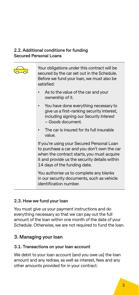#### **2.2. Additional conditions for funding Secured Personal Loans**

| Your obligations under this contract will be<br>secured by the car set out in the Schedule.<br>Before we fund your loan, we must also be<br>satisfied:                                                                   |
|--------------------------------------------------------------------------------------------------------------------------------------------------------------------------------------------------------------------------|
| As to the value of the car and your<br>ownership of it.                                                                                                                                                                  |
| You have done everything necessary to<br>give us a first-ranking security interest,<br>including signing our Security Interest<br>- Goods document.                                                                      |
| The car is insured for its full insurable<br>value.                                                                                                                                                                      |
| If you're using your Secured Personal Loan<br>to purchase a car and you don't own the car<br>when the contract starts, you must acquire<br>it and provide us the security details within<br>14 days of the funding date. |
| You authorise us to complete any blanks<br>in our security documents, such as vehicle<br>identification number.                                                                                                          |

#### **2.3. How we fund your loan**

You must give us your payment instructions and do everything necessary so that we can pay out the full amount of the loan within one month of the date of your Schedule. Otherwise, we are not required to fund the loan.

#### **3. Managing your loan**

#### **3.1. Transactions on your loan account**

We debit to your loan account (and you owe us) the loan amount and any redraw, as well as interest, fees and any other amounts provided for in your contract.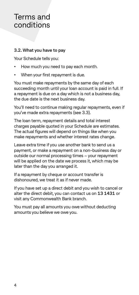#### **3.2. What you have to pay**

Your Schedule tells you:

- How much you need to pay each month.
- When your first repayment is due.

You must make repayments by the same day of each succeeding month until your loan account is paid in full. If a repayment is due on a day which is not a business day, the due date is the next business day.

You'll need to continue making regular repayments, even if you've made extra repayments (see 3.3).

The loan term, repayment details and total interest charges payable quoted in your Schedule are estimates. The actual figures will depend on things like when you make repayments and whether interest rates change.

Leave extra time if you use another bank to send us a payment, or make a repayment on a non-business day or outside our normal processing times – your repayment will be applied on the date we process it, which may be later than the day you arranged it.

If a repayment by cheque or account transfer is dishonoured, we treat it as if never made.

If you have set up a direct debit and you wish to cancel or alter the direct debit, you can contact us on **13 1431** or visit any Commonwealth Bank branch.

You must pay all amounts you owe without deducting amounts you believe we owe you.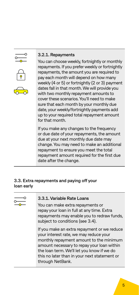



#### **3.2.1. Repayments**

You can choose weekly, fortnightly or monthly repayments. If you prefer weekly or fortnightly repayments, the amount you are required to pay each month will depend on how many weekly (4 or 5) or fortnightly (2 or 3) payment dates fall in that month. We will provide you with two monthly repayment amounts to cover these scenarios. You'll need to make sure that each month by your monthly due date, your weekly/fortnightly payments add up to your required total repayment amount for that month.

If you make any changes to the frequency or due date of your repayments, the amount due at your next monthly due date may change. You may need to make an additional repayment to ensure you meet the total repayment amount required for the first due date after the change.

#### **3.3. Extra repayments and paying off your loan early**



#### **3.3.1. Variable Rate Loans**

You can make extra repayments or repay your loan in full at any time. Extra repayments may enable you to redraw funds, subject to conditions (see 3.4).

If you make an extra repayment or we reduce your interest rate, we may reduce your monthly repayment amount to the minimum amount necessary to repay your loan within the loan term. We'll let you know if we do this no later than in your next statement or through NetBank.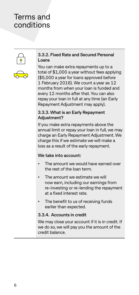



#### **3.3.2. Fixed Rate and Secured Personal Loans**

You can make extra repayments up to a total of \$1,000 a year without fees applying (\$5,000 a year for loans approved before 1 February 2016). We count a year as 12 months from when your loan is funded and every 12 months after that. You can also repay your loan in full at any time (an Early Repayment Adjustment may apply).

#### **3.3.3. What is an Early Repayment Adjustment?**

If you make extra repayments above the annual limit or repay your loan in full, we may charge an Early Repayment Adjustment. We charge this if we estimate we will make a loss as a result of the early repayment.

#### **We take into account:**

- The amount we would have earned over the rest of the loan term.
- The amount we estimate we will now earn, including our earnings from re-investing or re-lending the repayment at a fixed interest rate.
- The benefit to us of receiving funds earlier than expected.

#### **3.3.4. Accounts in credit**

We may close your account if it is in credit. If we do so, we will pay you the amount of the credit balance.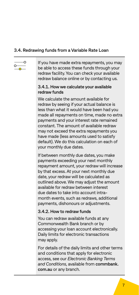#### **3.4. Redrawing funds from a Variable Rate Loan**

If you have made extra repayments, you may be able to access these funds through your redraw facility. You can check your available redraw balance online or by contacting us.

#### **3.4.1. How we calculate your available redraw funds**

We calculate the amount available for redraw by seeing if your actual balance is less than what it would have been had you made all repayments on time, made no extra payments and your interest rate remained constant. The amount of available redraw may not exceed the extra repayments you have made (less amounts used to satisfy default). We do this calculation on each of your monthly due dates.

If between monthly due dates, you make payments exceeding your next monthly repayment amount, your redraw will increase by that excess. At your next monthly due date, your redraw will be calculated as outlined above. We may adjust the amount available for redraw between interest due dates to take into account intramonth events, such as redraws, additional payments, dishonours or adjustments.

#### **3.4.2. How to redraw funds**

You can redraw available funds at any Commonwealth Bank branch or by accessing your loan account electronically. Daily limits for electronic transactions may apply.

For details of the daily limits and other terms and conditions that apply for electronic access, see our *Electronic Banking Terms and Conditions*, available from **commbank. com.au** or any branch.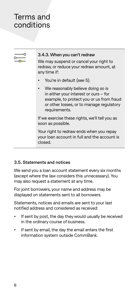

#### **3.4.3. When you can't redraw**

We may suspend or cancel your right to redraw, or reduce your redraw amount, at any time if:

- You're in default (see 5).
- We reasonably believe doing so is in either your interest or ours – for example, to protect you or us from fraud or other losses, or to manage regulatory requirements.

If we exercise these rights, we'll tell you as soon as possible.

Your right to redraw ends when you repay your loan account in full and the account is closed.

#### **3.5. Statements and notices**

We send you a loan account statement every six months (except where the law considers this unnecessary). You may also request a statement at any time.

For joint borrowers, your name and address may be displayed on statements sent to all borrowers.

Statements, notices and emails are sent to your last notified address and considered as received:

- If sent by post, the day they would usually be received in the ordinary course of business.
- If sent by email, the day the email enters the first information system outside CommBank.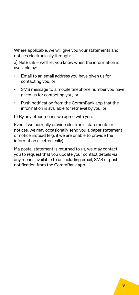Where applicable, we will give you your statements and notices electronically through:

a) NetBank – we'll let you know when the information is available by:

- Email to an email address you have given us for contacting you; or
- SMS message to a mobile telephone number you have given us for contacting you; or
- Push notification from the CommBank app that the information is available for retrieval by you; or

b) By any other means we agree with you.

Even if we normally provide electronic statements or notices, we may occasionally send you a paper statement or notice instead (e.g. if we are unable to provide the information electronically).

If a postal statement is returned to us, we may contact you to request that you update your contact details via any means available to us including email, SMS or push notification from the CommBank app.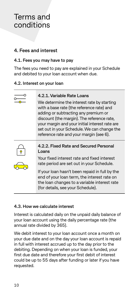#### **4. Fees and interest**

#### **4.1. Fees you may have to pay**

The fees you need to pay are explained in your Schedule and debited to your loan account when due.

#### **4.2. Interest on your loan**



#### **4.2.1. Variable Rate Loans**

We determine the interest rate by starting with a base rate (the reference rate) and adding or subtracting any premium or discount (the margin). The reference rate, your margin and your initial interest rate are set out in your Schedule. We can change the reference rate and your margin (see 6).



#### **4.2.2. Fixed Rate and Secured Personal Loans**

Your fixed interest rate and fixed interest rate period are set out in your Schedule.

If your loan hasn't been repaid in full by the end of your loan term, the interest rate on the loan changes to a variable interest rate (for details, see your Schedule).

#### **4.3. How we calculate interest**

Interest is calculated daily on the unpaid daily balance of your loan account using the daily percentage rate (the annual rate divided by 365).

We debit interest to your loan account once a month on your due date and on the day your loan account is repaid in full with interest accrued up to the day prior to the debiting. Depending on when your loan is funded, your first due date and therefore your first debit of interest could be up to 55 days after funding or later if you have requested.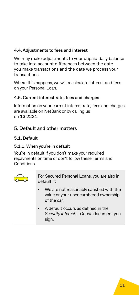#### **4.4. Adjustments to fees and interest**

We may make adjustments to your unpaid daily balance to take into account differences between the date you make transactions and the date we process your transactions.

Where this happens, we will recalculate interest and fees on your Personal Loan.

#### **4.5. Current interest rate, fees and charges**

Information on your current interest rate, fees and charges are available on NetBank or by calling us on **13 2221**.

#### **5. Default and other matters**

#### **5.1. Default**

#### **5.1.1. When you're in default**

You're in default if you don't make your required repayments on time or don't follow these Terms and **Conditions** 

| For Secured Personal Loans, you are also in<br>default if:                                      |  |
|-------------------------------------------------------------------------------------------------|--|
| We are not reasonably satisfied with the<br>value or your unencumbered ownership<br>of the car. |  |
| A default occurs as defined in the<br>Security Interest - Goods document you<br>sign.           |  |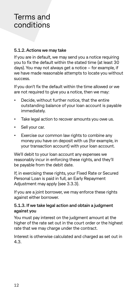#### **5.1.2. Actions we may take**

If you are in default, we may send you a notice requiring you to fix the default within the stated time (at least 30 days). You may not always get a notice *–* for example, if we have made reasonable attempts to locate you without success.

If you don't fix the default within the time allowed or we are not required to give you a notice, then we may:

- Decide, without further notice, that the entire outstanding balance of your loan account is payable immediately.
- Take legal action to recover amounts you owe us.
- Sell your car.
- Exercise our common law rights to combine any money you have on deposit with us (for example, in your transaction account) with your loan account.

We'll debit to your loan account any expenses we reasonably incur in enforcing these rights, and they'll be payable from the debit date.

If, in exercising these rights, your Fixed Rate or Secured Personal Loan is paid in full, an Early Repayment Adjustment may apply (see 3.3.3).

If you are a joint borrower, we may enforce these rights against either borrower.

#### **5.1.3. If we take legal action and obtain a judgment against you**

You must pay interest on the judgment amount at the higher of the rate set out in the court order or the highest rate that we may charge under the contract.

Interest is otherwise calculated and charged as set out in 4.3.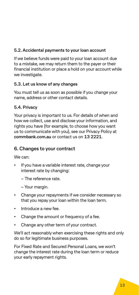#### **5.2. Accidental payments to your loan account**

If we believe funds were paid to your loan account due to a mistake, we may return them to the payer or their financial institution or place a hold on your account while we investigate.

#### **5.3. Let us know of any changes**

You must tell us as soon as possible if you change your name, address or other contact details.

#### **5.4. Privacy**

Your privacy is important to us. For details of when and how we collect, use and disclose your information, and rights you have (for example, to choose how you want us to communicate with you), see our Privacy Policy at **commbank.com.au** or contact us on **13 2221**.

#### **6. Changes to your contract**

We can:

- If you have a variable interest rate, change your interest rate by changing:
	- The reference rate.
	- Your margin.
- Change your repayments if we consider necessary so that you repay your loan within the loan term.
- Introduce a new fee.
- Change the amount or frequency of a fee.
- Change any other term of your contract.

We'll act reasonably when exercising these rights and only do so for legitimate business purposes.

For Fixed Rate and Secured Personal Loans, we won't change the interest rate during the loan term or reduce your early repayment rights.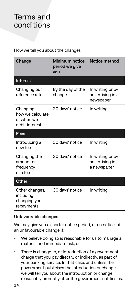#### How we tell you about the changes

| Change                                                       | Minimum notice<br>period we give<br><b>you</b> | Notice method                                     |
|--------------------------------------------------------------|------------------------------------------------|---------------------------------------------------|
| Interest                                                     |                                                |                                                   |
| Changing our<br>reference rate                               | By the day of the<br>change                    | In writing or by<br>advertising in a<br>newspaper |
| Changing<br>how we calculate<br>or when we<br>debit interest | 30 days' notice                                | In writing                                        |
| Fees                                                         |                                                |                                                   |
| Introducing a<br>new fee                                     | 30 days' notice                                | In writing                                        |
| Changing the<br>amount or<br>frequency<br>of a fee           | 30 days' notice                                | In writing or by<br>advertising in<br>a newspaper |
| Other                                                        |                                                |                                                   |
| Other changes,<br>including<br>changing your<br>repayments   | 30 days' notice                                | In writing                                        |

#### **Unfavourable changes**

We may give you a shorter notice period, or no notice, of an unfavourable change if:

- We believe doing so is reasonable for us to manage a material and immediate risk, or
- There is change to, or introduction of a government charge that you pay directly, or indirectly, as part of your banking service. In that case, and unless the government publicises the introduction or change, we will tell you about the introduction or change reasonably promptly after the government notifies us.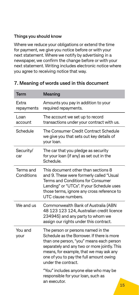#### **Things you should know**

Where we reduce your obligations or extend the time for payment, we give you notice before or with your next statement. Where we notify by advertising in a newspaper, we confirm the change before or with your next statement. Writing includes electronic notice where you agree to receiving notice that way.

| Term                    | Meaning                                                                                                                                                                                                                                                                                   |
|-------------------------|-------------------------------------------------------------------------------------------------------------------------------------------------------------------------------------------------------------------------------------------------------------------------------------------|
| Extra<br>repayments     | Amounts you pay in addition to your<br>required repayments.                                                                                                                                                                                                                               |
| l oan<br>account        | The account we set up to record<br>transactions under your contract with us.                                                                                                                                                                                                              |
| Schedule                | The Consumer Credit Contract Schedule<br>we give you that sets out key details of<br>your loan.                                                                                                                                                                                           |
| Security/<br>car        | The car that you pledge as security<br>for your loan (if any) as set out in the<br>Schedule.                                                                                                                                                                                              |
| Terms and<br>Conditions | This document other than sections 8<br>and 9. These were formerly called "Usual<br>Terms and Conditions for Consumer<br>Lending" or "UTCs". If your Schedule uses<br>those terms, ignore any cross reference to<br>UTC clause numbers.                                                    |
| We and us               | Commonwealth Bank of Australia (ABN<br>48 123 123 124, Australian credit licence<br>234945) and any party to whom we<br>assign our rights under this contract.                                                                                                                            |
| You and<br>your         | The person or persons named in the<br>Schedule as the Borrower. If there is more<br>than one person, "you" means each person<br>separately and any two or more jointly. This<br>means, for example, that we may ask any<br>one of you to pay the full amount owing<br>under the contract. |
|                         | "You" includes anyone else who may be<br>responsible for your loan, such as<br>an executor.                                                                                                                                                                                               |

#### **7. Meaning of words used in this document**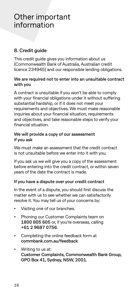### Other important information

#### **8. Credit guide**

This credit guide gives you information about us (Commonwealth Bank of Australia, Australian credit licence 234945) and our responsible lending obligations.

#### **We are required not to enter into an unsuitable contract with you**

A contract is unsuitable if you won't be able to comply with your financial obligations under it without suffering substantial hardship, or if it does not meet your requirements and objectives. We must make reasonable inquiries about your financial situation, requirements and objectives, and take reasonable steps to verify your financial situation.

#### **We will provide a copy of our assessment if you ask**

We must make an assessment that the credit contract is not unsuitable before we enter into it with you.

If you ask us we will give you a copy of the assessment before entering into the credit contract, or within seven years of the date the contract is made.

#### **If you have a dispute over your credit contract**

In the event of a dispute, you should first discuss the matter with us to see whether we can satisfactorily resolve it. You may tell us of your concerns by:

- Visiting one of our branches.
- Phoning our Customer Complaints team on **1800 805 605** or, if you're overseas, calling **+61 2 9687 0756**.
- Completing the online feedback form at **commbank.com.au/feedback**
- Writing to us at: **Customer Complaints, Commonwealth Bank Group, GPO Box 41, Sydney, NSW, 2001**.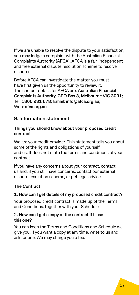If we are unable to resolve the dispute to your satisfaction, you may lodge a complaint with the Australian Financial Complaints Authority (AFCA). AFCA is a fair, independent and free external dispute resolution scheme to resolve disputes.

Before AFCA can investigate the matter, you must have first given us the opportunity to review it. The contact details for AFCA are: **Australian Financial Complaints Authority, GPO Box 3, Melbourne VIC 3001**; Tel: **1800 931 678**; Email: **info@afca.org.au**; Web: **afca.org.au**

#### **9. Information statement**

#### **Things you should know about your proposed credit contract**

We are your credit provider. This statement tells you about some of the rights and obligations of yourself and us. It does not state the terms and conditions of your contract.

If you have any concerns about your contract, contact us and, if you still have concerns, contact our external dispute resolution scheme, or get legal advice.

#### **The Contract**

#### **1. How can I get details of my proposed credit contract?**

Your proposed credit contract is made up of the Terms and Conditions, together with your Schedule.

#### **2. How can I get a copy of the contract if I lose this one?**

You can keep the Terms and Conditions and Schedule we give you. If you want a copy at any time, write to us and ask for one. We may charge you a fee.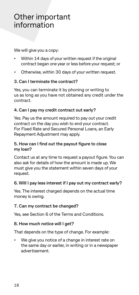### Other important information

We will give you a copy:

- Within 14 days of your written request if the original contract began one year or less before your request; or
- Otherwise, within 30 days of your written request.

#### **3. Can I terminate the contract?**

Yes, you can terminate it by phoning or writing to us as long as you have not obtained any credit under the contract.

#### **4. Can I pay my credit contract out early?**

Yes. Pay us the amount required to pay out your credit contract on the day you wish to end your contract. For Fixed Rate and Secured Personal Loans, an Early Repayment Adjustment may apply.

#### **5. How can I find out the payout figure to close my loan?**

Contact us at any time to request a payout figure. You can also ask for details of how the amount is made up. We must give you the statement within seven days of your request.

#### **6. Will I pay less interest if I pay out my contract early?**

Yes. The interest charged depends on the actual time money is owing.

#### **7. Can my contract be changed?**

Yes, see Section 6 of the Terms and Conditions.

#### **8. How much notice will I get?**

That depends on the type of change. For example:

We give you notice of a change in interest rate on the same day or earlier, in writing or in a newspaper advertisement.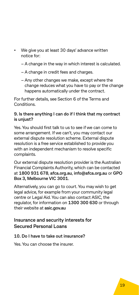- We give you at least 30 days' advance written notice for:
	- A change in the way in which interest is calculated.
	- A change in credit fees and charges.
	- Any other changes we make, except where the change reduces what you have to pay or the change happens automatically under the contract.

For further details, see Section 6 of the Terms and **Conditions** 

#### **9. Is there anything I can do if I think that my contract is unjust?**

Yes. You should first talk to us to see if we can come to some arrangement. If we can't, you may contact our external dispute resolution scheme. External dispute resolution is a free service established to provide you with an independent mechanism to resolve specific complaints.

Our external dispute resolution provider is the Australian Financial Complaints Authority, which can be contacted at **1800 931 678**, **afca.org.au**, **info@afca.org.au** or **GPO Box 3, Melbourne VIC 3001**.

Alternatively, you can go to court. You may wish to get legal advice, for example from your community legal centre or Legal Aid. You can also contact ASIC, the regulator, for information on **1300 300 630** or through their website at **asic.gov.au**

#### **Insurance and security interests for Secured Personal Loans**

#### **10. Do I have to take out insurance?**

Yes. You can choose the insurer.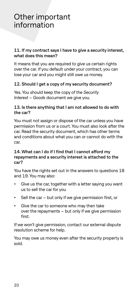### Other important information

#### **11. If my contract says I have to give a security interest, what does this mean?**

It means that you are required to give us certain rights over the car. If you default under your contract, you can lose your car and you might still owe us money.

#### **12. Should I get a copy of my security document?**

Yes. You should keep the copy of the *Security Interest – Goods* document we give you.

#### **13. Is there anything that I am not allowed to do with the car?**

You must not assign or dispose of the car unless you have permission from us or a court. You must also look after the car. Read the security document, which has other terms and conditions about what you can or cannot do with the car.

#### **14. What can I do if I find that I cannot afford my repayments and a security interest is attached to the car?**

You have the rights set out in the answers to questions 18 and 19. You may also:

- Give us the car, together with a letter saying you want us to sell the car for you
- Sell the car *–* but only if we give permission first, or
- Give the car to someone who may then take over the repayments *–* but only if we give permission first.

If we won't give permission, contact our external dispute resolution scheme for help.

You may owe us money even after the security property is sold.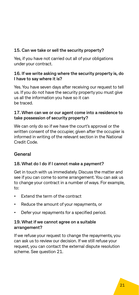#### **15. Can we take or sell the security property?**

Yes, if you have not carried out all of your obligations under your contract.

#### **16. If we write asking where the security property is, do I have to say where it is?**

Yes. You have seven days after receiving our request to tell us. If you do not have the security property you must give us all the information you have so it can be traced.

#### **17. When can we or our agent come into a residence to take possession of security property?**

We can only do so if we have the court's approval or the written consent of the occupier, given after the occupier is informed in writing of the relevant section in the National Credit Code.

#### **General**

#### **18. What do I do if I cannot make a payment?**

Get in touch with us immediately. Discuss the matter and see if you can come to some arrangement. You can ask us to change your contract in a number of ways. For example, to:

- Extend the term of the contract
- Reduce the amount of your repayments, or
- Defer your repayments for a specified period.

#### **19. What if we cannot agree on a suitable arrangement?**

If we refuse your request to change the repayments, you can ask us to review our decision. If we still refuse your request, you can contact the external dispute resolution scheme. See question 21.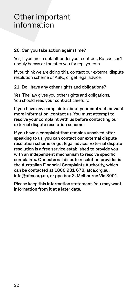### Other important information

#### **20. Can you take action against me?**

Yes, if you are in default under your contract. But we can't unduly harass or threaten you for repayments.

If you think we are doing this, contact our external dispute resolution scheme or ASIC, or get legal advice.

#### **21. Do I have any other rights and obligations?**

Yes. The law gives you other rights and obligations. You should **read your contract** carefully.

**If you have any complaints about your contract, or want more information, contact us. You must attempt to resolve your complaint with us before contacting our external dispute resolution scheme.**

**If you have a complaint that remains unsolved after speaking to us, you can contact our external dispute resolution scheme or get legal advice. External dispute resolution is a free service established to provide you with an independent mechanism to resolve specific complaints. Our external dispute resolution provider is the Australian Financial Complaints Authority, which can be contacted at 1800 931 678, afca.org.au, info@afca.org.au, or gpo box 3, Melbourne Vic 3001.** 

**Please keep this information statement. You may want information from it at a later date.**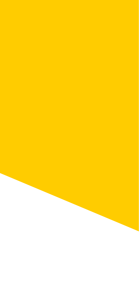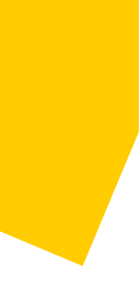